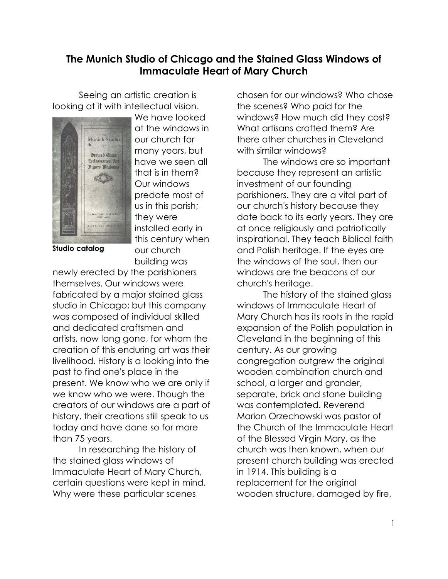## **The Munich Studio of Chicago and the Stained Glass Windows of Immaculate Heart of Mary Church**

Seeing an artistic creation is looking at it with intellectual vision.



We have looked at the windows in our church for many years, but have we seen all that is in them? Our windows predate most of us in this parish; they were installed early in this century when our church building was

**Studio catalog**

newly erected by the parishioners themselves. Our windows were fabricated by a major stained glass studio in Chicago; but this company was composed of individual skilled and dedicated craftsmen and artists, now long gone, for whom the creation of this enduring art was their livelihood. History is a looking into the past to find one's place in the present. We know who we are only if we know who we were. Though the creators of our windows are a part of history, their creations still speak to us today and have done so for more than 75 years.

In researching the history of the stained alass windows of Immaculate Heart of Mary Church, certain questions were kept in mind. Why were these particular scenes

chosen for our windows? Who chose the scenes? Who paid for the windows? How much did they cost? What artisans crafted them? Are there other churches in Cleveland with similar windows?

The windows are so important because they represent an artistic investment of our founding parishioners. They are a vital part of our church's history because they date back to its early years. They are at once religiously and patriotically inspirational. They teach Biblical faith and Polish heritage. If the eyes are the windows of the soul, then our windows are the beacons of our church's heritage.

The history of the stained glass windows of Immaculate Heart of Mary Church has its roots in the rapid expansion of the Polish population in Cleveland in the beginning of this century. As our growing congregation outgrew the original wooden combination church and school, a larger and grander, separate, brick and stone building was contemplated. Reverend Marion Orzechowski was pastor of the Church of the Immaculate Heart of the Blessed Virgin Mary, as the church was then known, when our present church building was erected in 1914. This building is a replacement for the original wooden structure, damaged by fire,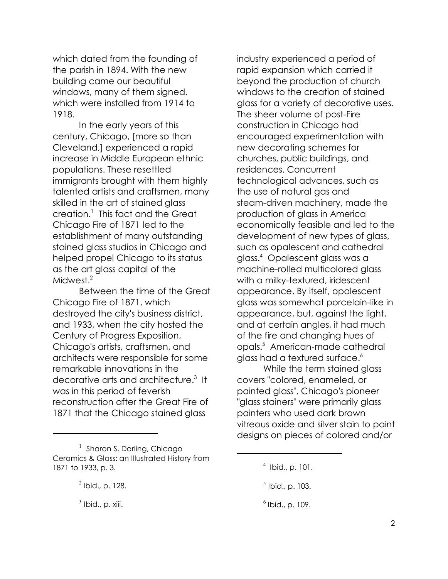which dated from the founding of the parish in 1894. With the new building came our beautiful windows, many of them signed, which were installed from 1914 to 1918.

In the early years of this century, Chicago, [more so than Cleveland,] experienced a rapid increase in Middle European ethnic populations. These resettled immigrants brought with them highly talented artists and craftsmen, many skilled in the art of stained glass creation.<sup>1</sup> This fact and the Great Chicago Fire of 1871 led to the establishment of many outstanding stained glass studios in Chicago and helped propel Chicago to its status as the art glass capital of the Midwest.<sup>2</sup>

Between the time of the Great Chicago Fire of 1871, which destroyed the city's business district, and 1933, when the city hosted the Century of Progress Exposition, Chicago's artists, craftsmen, and architects were responsible for some remarkable innovations in the decorative arts and architecture.<sup>3</sup> It was in this period of feverish reconstruction after the Great Fire of 1871 that the Chicago stained glass

industry experienced a period of rapid expansion which carried it beyond the production of church windows to the creation of stained glass for a variety of decorative uses. The sheer volume of post-Fire construction in Chicago had encouraged experimentation with new decorating schemes for churches, public buildings, and residences. Concurrent technological advances, such as the use of natural gas and steam-driven machinery, made the production of glass in America economically feasible and led to the development of new types of glass, such as opalescent and cathedral glass.<sup>4</sup> Opalescent glass was a machine-rolled multicolored glass with a milky-textured, iridescent appearance. By itself, opalescent glass was somewhat porcelain-like in appearance, but, against the light, and at certain angles, it had much of the fire and changing hues of opals.<sup>5</sup> American-made cathedral glass had a textured surface.<sup>6</sup>

While the term stained glass covers "colored, enameled, or painted glass", Chicago's pioneer "glass stainers" were primarily glass painters who used dark brown vitreous oxide and silver stain to paint designs on pieces of colored and/or

<sup>&</sup>lt;sup>1</sup> Sharon S. Darling, Chicago Ceramics & Glass: an Illustrated History from 1871 to 1933, p. 3.

 $<sup>2</sup>$  Ibid., p. 128.</sup>

 $<sup>3</sup>$  Ibid., p. xiii.</sup>

<sup>4</sup> Ibid., p. 101.

 $<sup>5</sup>$  Ibid., p. 103.</sup>

<sup>6</sup> Ibid., p. 109.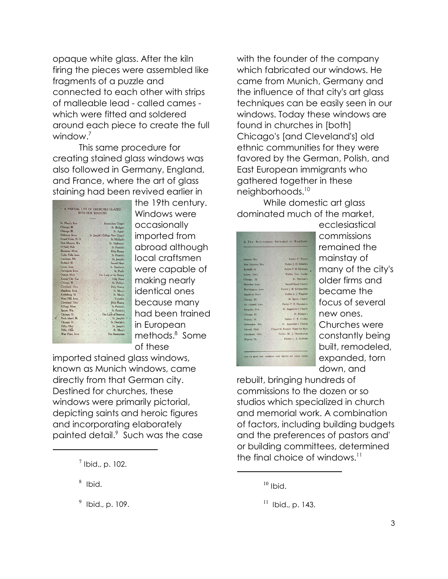opaque white glass. After the kiln firing the pieces were assembled like fragments of a puzzle and connected to each other with strips of malleable lead - called cames which were fitted and soldered around each piece to create the full window.<sup>7</sup>

This same procedure for creating stained glass windows was also followed in Germany, England, and France, where the art of glass staining had been revived earlier in

|                   | WITH OUR WINDOWS |  |                                   |
|-------------------|------------------|--|-----------------------------------|
| St. Mary's, Kas   |                  |  | Immaculata Chapel                 |
| Chicago, Ill.     |                  |  | St Bridget's                      |
| Chicago, Ill.     |                  |  | St. Agnes'                        |
| Dubuque, Iowa     |                  |  | . St. Joseph's College New Chapel |
| Grand Forks, N.D. |                  |  | St. Michael's                     |
| New Munster, Wis. |                  |  | St. Alphonsus'                    |
| O'Neill, Neb      |                  |  | St. Patrick's                     |
| Bozeman, Mont.    |                  |  | <b>Holy Rosary</b>                |
| Cedar Falls, Iowa |                  |  | St. Patrick's                     |
| Louisiana, Mo.    |                  |  | St. Joseph's                      |
| Rutland, Ill.     |                  |  | Sacred Heart                      |
| Lyons, lowa       |                  |  | St. Boniface's                    |
| Davenport, Iowa   |                  |  | St. Paul's                        |
| Detroit, Mich     |                  |  | Our Lady of the Rosary            |
| Kansas City, Kas  |                  |  | Holy Name                         |
| Chicago, Ill.     |                  |  | St. Phillip's                     |
| Cleveland, Ohio   |                  |  | <b>Holy Rosary</b>                |
| Mapleton, Iowa    |                  |  | St. Mary's                        |
| Keithsburg, Ill.  |                  |  | St. Mary's                        |
| Mary Hill, Iowa   |                  |  | Visitation                        |
| Cleveland, Ohio   |                  |  | Holy Rosary                       |
| Billings, Mont.   |                  |  | St. Patrick's                     |
| Sparta, Wis.      |                  |  | St. Patrick's                     |
| Chicago, Ill.     | ì                |  | Our Lady of Sorrows               |
| Rock Island, Ill. |                  |  | St., Joseph's                     |
| Chicago, Ill.     |                  |  | St. Dominic's                     |
| Tiffin, Ohio      |                  |  | St. Joseph's                      |
| Tiffin, Ohio      |                  |  | St. Marv's                        |
| West Point, Iowa  |                  |  | The Assumption                    |

the 19th century. Windows were occasionally imported from abroad although local craftsmen were capable of making nearly identical ones because many had been trained in European methods.<sup>8</sup> Some of these

imported stained glass windows, known as Munich windows, came directly from that German city. Destined for churches, these windows were primarily pictorial, depicting saints and heroic figures and incorporating elaborately painted detail.<sup>9</sup> Such was the case with the founder of the company which fabricated our windows. He came from Munich, Germany and the influence of that city's art glass techniques can be easily seen in our windows. Today these windows are found in churches in [both] Chicago's [and Cleveland's] old ethnic communities for they were favored by the German, Polish, and East European immigrants who gathered together in these neighborhoods.<sup>10</sup>

While domestic art glass dominated much of the market,

| Daeada, Wis.                   | Father C. Flasch<br>w                            |
|--------------------------------|--------------------------------------------------|
| New Munster, Wis.              | Father J. H. Schiefen                            |
| Rutland, Ill.                  | Father F. B. Dickman                             |
| Anton, Iowa                    | Father Geo. Cooke                                |
| Chicago, Ill.                  | . St. Dominic's<br>337                           |
| Waterloo, Iowa                 | Sacred Heart Church                              |
| Worthington, Iowa              | Father J. H. Schilmoeller                        |
| Mapleton, Iowa                 | Father A. J. Wagener<br>n S                      |
| Chicago, Ill.                  | St. Agnes Church                                 |
| Mt. Carmel, Iowa               | Father F. H. Huesmann                            |
| Schuyler, Neb.                 | St. Augustine's Church                           |
| Chicago, Ill.<br>39319<br>ste. | St. Bridget's                                    |
| Walton, Ill.<br>÷<br>٠         | Father C. F. Conley-                             |
| Milwaukee, Wis.                | St. Augustine's Church                           |
|                                | Detroit, Mich. Chapel St. Francis' Home for Boys |
| Cleveland, Ohio                | Father M. J. Orzechowski                         |
| Warren, Pa.                    | Father L. A. McBride                             |
|                                |                                                  |

ecclesiastical commissions remained the mainstay of many of the city's older firms and became the focus of several new ones. Churches were constantly being built, remodeled, expanded, torn down, and

rebuilt, bringing hundreds of commissions to the dozen or so studios which specialized in church and memorial work. A combination of factors, including building budgets and the preferences of pastors and' or building committees, determined the final choice of windows. $11$ 

 $<sup>7</sup>$  Ibid., p. 102.</sup>

<sup>8</sup> Ibid.

 $^{9}$  Ibid., p. 109.

 $10$  Ibid.

 $11$  Ibid., p. 143.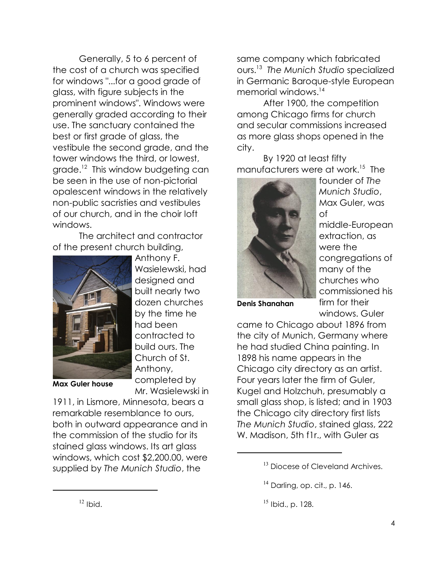Generally, 5 to 6 percent of the cost of a church was specified for windows "...for a good grade of glass, with figure subjects in the prominent windows". Windows were generally graded according to their use. The sanctuary contained the best or first grade of glass, the vestibule the second grade, and the tower windows the third, or lowest, grade.<sup>12</sup> This window budgeting can be seen in the use of non-pictorial opalescent windows in the relatively non-public sacristies and vestibules of our church, and in the choir loft windows.

The architect and contractor of the present church building,



Anthony F. Wasielewski, had designed and built nearly two dozen churches by the time he had been contracted to build ours. The Church of St. Anthony, completed by Mr. Wasielewski in

**Max Guler house**

1911, in Lismore, Minnesota, bears a remarkable resemblance to ours, both in outward appearance and in the commission of the studio for its stained glass windows. Its art glass windows, which cost \$2,200.00, were supplied by *The Munich Studio*, the

same company which fabricated ours.<sup>13</sup> *The Munich Studio* specialized in Germanic Baroque-style European memorial windows.<sup>14</sup>

After 1900, the competition among Chicago firms for church and secular commissions increased as more glass shops opened in the city.

By 1920 at least fifty manufacturers were at work.<sup>15</sup> The



founder of *The Munich Studio*, Max Guler, was of

middle-European extraction, as were the congregations of many of the churches who commissioned his firm for their windows. Guler

**Denis Shanahan**

came to Chicago about 1896 from the city of Munich, Germany where he had studied China painting. In 1898 his name appears in the Chicago city directory as an artist. Four years later the firm of Guler, Kugel and Holzchuh, presumably a small glass shop, is listed; and in 1903 the Chicago city directory first lists *The Munich Studio*, stained glass, 222 W. Madison, 5th f1r., with Guler as

<sup>&</sup>lt;sup>13</sup> Diocese of Cleveland Archives.

 $14$  Darling, op. cit., p. 146.

<sup>15</sup> Ibid., p. 128.

 $12$  Ibid.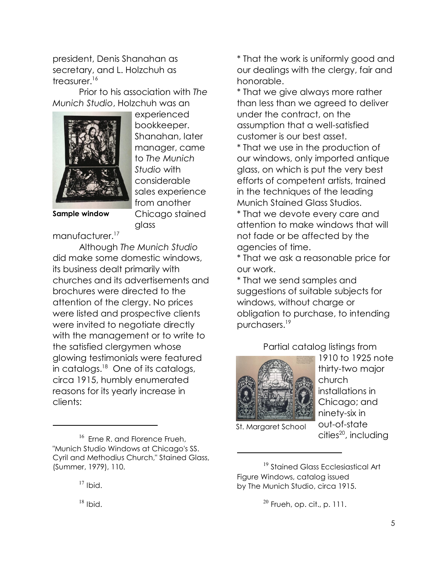president, Denis Shanahan as secretary, and L. Holzchuh as  $t$ reasurer.<sup>16</sup>

Prior to his association with *The Munich Studio*, Holzchuh was an



experienced bookkeeper. Shanahan, later manager, came to *The Munich Studio* with considerable sales experience from another Chicago stained glass

**Sample window**

manufacturer.<sup>17</sup>

Although *The Munich Studio* did make some domestic windows, its business dealt primarily with churches and its advertisements and brochures were directed to the attention of the clergy. No prices were listed and prospective clients were invited to negotiate directly with the management or to write to the satisfied clergymen whose glowing testimonials were featured in catalogs.<sup>18</sup> One of its catalogs, circa 1915, humbly enumerated reasons for its yearly increase in clients:

 $16$  Erne R. and Florence Frueh, "Munich Studio Windows at Chicago's SS. Cyril and Methodius Church," Stained Glass, (Summer, 1979), 110.

 $17$  Ibid.

\* That the work is uniformly good and our dealings with the clergy, fair and honorable.

\* That we give always more rather than less than we agreed to deliver under the contract, on the assumption that a well-satisfied customer is our best asset.

\* That we use in the production of our windows, only imported antique glass, on which is put the very best efforts of competent artists, trained in the techniques of the leading Munich Stained Glass Studios.

\* That we devote every care and attention to make windows that will not fade or be affected by the agencies of time.

\* That we ask a reasonable price for our work.

\* That we send samples and suggestions of suitable subjects for windows, without charge or obligation to purchase, to intending purchasers.<sup>19</sup>

Partial catalog listings from



1910 to 1925 note thirty-two major church installations in Chicago; and ninety-six in out-of-state<br>cities<sup>20</sup>, including

St. Margaret School

<sup>19</sup> Stained Glass Ecclesiastical Art Figure Windows, catalog issued by The Munich Studio, circa 1915.

 $20$  Frueh, op. cit., p. 111.

 $18$  Ibid.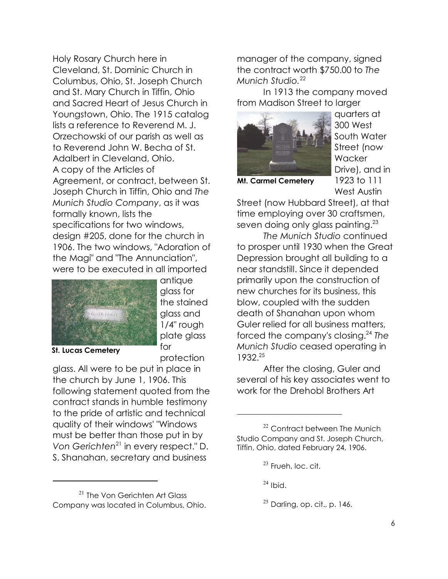Holy Rosary Church here in Cleveland, St. Dominic Church in Columbus, Ohio, St. Joseph Church and St. Mary Church in Tiffin, Ohio and Sacred Heart of Jesus Church in Youngstown, Ohio. The 1915 catalog lists a reference to Reverend M. J. Orzechowski of our parish as well as to Reverend John W. Becha of St. Adalbert in Cleveland, Ohio. A copy of the Articles of Agreement, or contract, between St. Joseph Church in Tiffin, Ohio and *The Munich Studio Company*, as it was formally known, lists the specifications for two windows, design #205, done for the church in 1906. The two windows, "Adoration of the Magi" and "The Annunciation", were to be executed in all imported



antique glass for the stained glass and 1/4" rough plate glass for protection

**St. Lucas Cemetery**

glass. All were to be put in place in the church by June 1, 1906. This following statement quoted from the contract stands in humble testimony to the pride of artistic and technical quality of their windows' "Windows must be better than those put in by *Von Gerichten*<sup>21</sup> in every respect." D. S. Shanahan, secretary and business

manager of the company, signed the contract worth \$750.00 to *The Munich Studio.*<sup>22</sup>

In 1913 the company moved from Madison Street to larger



quarters at 300 West South Water Street (now **Wacker** Drive), and in 1923 to 111

**Mt. Carmel Cemetery**

West Austin

Street (now Hubbard Street), at that time employing over 30 craftsmen, seven doing only glass painting. $^{23}$ 

*The Munich Studio* continued to prosper until 1930 when the Great Depression brought all building to a near standstill. Since it depended primarily upon the construction of new churches for its business, this blow, coupled with the sudden death of Shanahan upon whom Guler relied for all business matters, forced the company's closing.<sup>24</sup> *The Munich Studio* ceased operating in 1932.<sup>25</sup>

After the closing, Guler and several of his key associates went to work for the Drehobl Brothers Art

 $24$  Ibid.

<sup>&</sup>lt;sup>21</sup> The Von Gerichten Art Glass Company was located in Columbus, Ohio.

<sup>&</sup>lt;sup>22</sup> Contract between The Munich Studio Company and St. Joseph Church, Tiffin, Ohio, dated February 24, 1906.

 $23$  Frueh, loc. cit.

 $25$  Darling, op. cit., p. 146.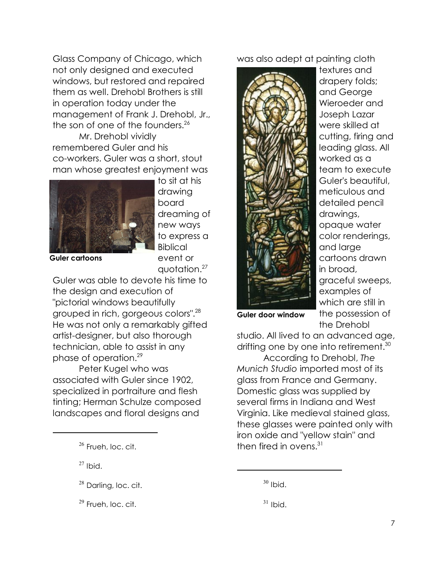Glass Company of Chicago, which not only designed and executed windows, but restored and repaired them as well. Drehobl Brothers is still in operation today under the management of Frank J. Drehobl, Jr., the son of one of the founders.<sup>26</sup>

Mr. Drehobl vividly remembered Guler and his co-workers. Guler was a short, stout man whose greatest enjoyment was



to sit at his drawing board dreaming of new ways to express a **Biblical** event or quotation.<sup>27</sup>

**Guler cartoons**

Guler was able to devote his time to the design and execution of "pictorial windows beautifully grouped in rich, gorgeous colors".<sup>28</sup> He was not only a remarkably gifted artist-designer, but also thorough technician, able to assist in any phase of operation.<sup>29</sup>

Peter Kugel who was associated with Guler since 1902, specialized in portraiture and flesh tinting; Herman Schulze composed landscapes and floral designs and

 $27$  Ibid.

 $29$  Frueh, loc. cit.

was also adept at painting cloth



textures and drapery folds; and George Wieroeder and Joseph Lazar were skilled at cutting, firing and leading glass. All worked as a team to execute Guler's beautiful, meticulous and detailed pencil drawings, opaque water color renderings, and large cartoons drawn in broad, graceful sweeps, examples of which are still in the possession of the Drehobl

**Guler door window**

studio. All lived to an advanced age, drifting one by one into retirement.<sup>30</sup>

According to Drehobl, *The Munich Studio* imported most of its glass from France and Germany. Domestic glass was supplied by several firms in Indiana and West Virginia. Like medieval stained glass, these glasses were painted only with iron oxide and "yellow stain" and  $16$ <sup>26</sup> Frueh, loc. cit.  $16$  fired in ovens.<sup>31</sup>

<sup>&</sup>lt;sup>28</sup> Darling, loc. cit.

 $30$  Ibid.

 $31$  Ibid.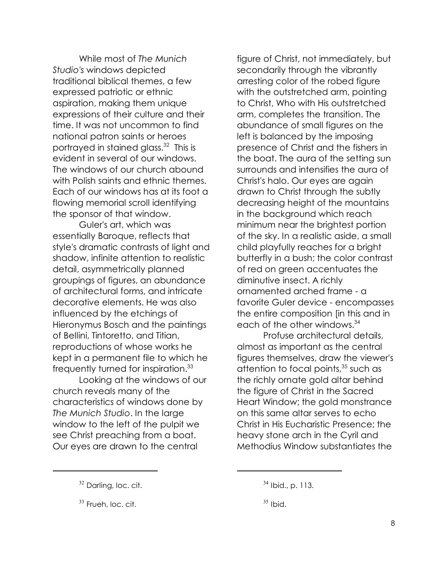While most of *The Munich Studio's* windows depicted traditional biblical themes, a few expressed patriotic or ethnic aspiration, making them unique expressions of their culture and their time. It was not uncommon to find national patron saints or heroes portrayed in stained glass.<sup>32</sup> This is evident in several of our windows. The windows of our church abound with Polish saints and ethnic themes. Each of our windows has at its foot a flowing memorial scroll identifying the sponsor of that window.

Guler's art, which was essentially Baroque, reflects that style's dramatic contrasts of light and shadow, infinite attention to realistic detail, asymmetrically planned groupings of figures, an abundance of architectural forms, and intricate decorative elements. He was also influenced by the etchings of Hieronymus Bosch and the paintings of Bellini, Tintoretto, and Titian, reproductions of whose works he kept in a permanent file to which he frequently turned for inspiration.<sup>33</sup>

Looking at the windows of our church reveals many of the characteristics of windows done by *The Munich Studio*. In the large window to the left of the pulpit we see Christ preaching from a boat. Our eyes are drawn to the central

figure of Christ, not immediately, but secondarily through the vibrantly arresting color of the robed figure with the outstretched arm, pointing to Christ, Who with His outstretched arm, completes the transition. The abundance of small figures on the left is balanced by the imposing presence of Christ and the fishers in the boat. The aura of the setting sun surrounds and intensifies the aura of Christ's halo. Our eyes are again drawn to Christ through the subtly decreasing height of the mountains in the background which reach minimum near the brightest portion of the sky. In a realistic aside, a small child playfully reaches for a bright butterfly in a bush; the color contrast of red on green accentuates the diminutive insect. A richly ornamented arched frame - a favorite Guler device - encompasses the entire composition [in this and in each of the other windows.<sup>34</sup>

Profuse architectural details, almost as important as the central figures themselves, draw the viewer's attention to focal points, $35$  such as the richly ornate gold altar behind the figure of Christ in the Sacred Heart Window; the gold monstrance on this same altar serves to echo Christ in His Eucharistic Presence; the heavy stone arch in the Cyril and Methodius Window substantiates the

<sup>&</sup>lt;sup>32</sup> Darling, loc. cit.

 $33$  Frueh, loc. cit.

<sup>34</sup> Ibid., p. 113.

 $35$  Ibid.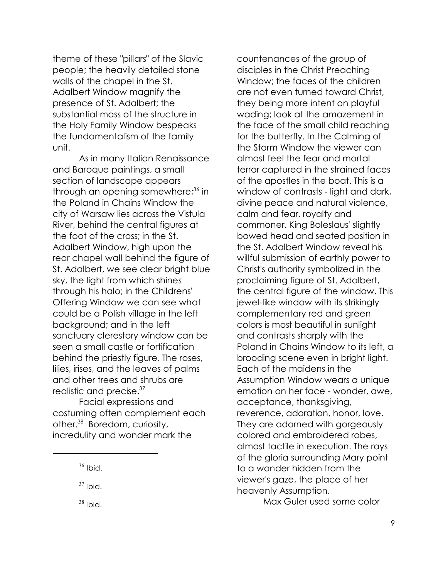theme of these "pillars" of the Slavic people; the heavily detailed stone walls of the chapel in the St. Adalbert Window magnify the presence of St. Adalbert; the substantial mass of the structure in the Holy Family Window bespeaks the fundamentalism of the family unit.

As in many Italian Renaissance and Baroque paintings, a small section of landscape appears through an opening somewhere;<sup>36</sup> in the Poland in Chains Window the city of Warsaw lies across the Vistula River, behind the central figures at the foot of the cross; in the St. Adalbert Window, high upon the rear chapel wall behind the figure of St. Adalbert, we see clear bright blue sky, the light from which shines through his halo; in the Childrens' Offering Window we can see what could be a Polish village in the left background; and in the left sanctuary clerestory window can be seen a small castle or fortification behind the priestly figure. The roses, lilies, irises, and the leaves of palms and other trees and shrubs are realistic and precise.<sup>37</sup>

Facial expressions and costuming often complement each other.<sup>38</sup> Boredom, curiosity, incredulity and wonder mark the

 $38$  Ibid.

countenances of the group of disciples in the Christ Preaching Window; the faces of the children are not even turned toward Christ, they being more intent on playful wading; look at the amazement in the face of the small child reaching for the butterfly. In the Calming of the Storm Window the viewer can almost feel the fear and mortal terror captured in the strained faces of the apostles in the boat. This is a window of contrasts - light and dark, divine peace and natural violence, calm and fear, royalty and commoner. King Boleslaus' slightly bowed head and seated position in the St. Adalbert Window reveal his willful submission of earthly power to Christ's authority symbolized in the proclaiming figure of St. Adalbert, the central figure of the window. This jewel-like window with its strikingly complementary red and green colors is most beautiful in sunlight and contrasts sharply with the Poland in Chains Window to its left, a brooding scene even in bright light. Each of the maidens in the Assumption Window wears a unique emotion on her face - wonder, awe, acceptance, thanksgiving, reverence, adoration, honor, love. They are adorned with gorgeously colored and embroidered robes, almost tactile in execution. The rays of the gloria surrounding Mary point to a wonder hidden from the viewer's gaze, the place of her heavenly Assumption.

Max Guler used some color

 $36$  Ibid.

 $37$  Ibid.